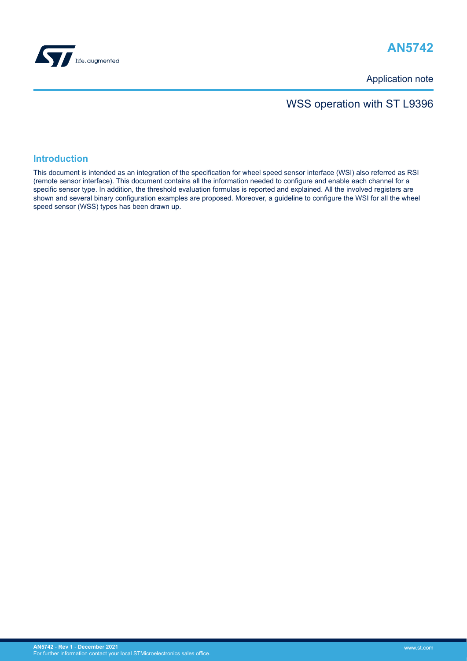

# **AN5742**

Application note

## WSS operation with ST L9396

### **Introduction**

This document is intended as an integration of the specification for wheel speed sensor interface (WSI) also referred as RSI (remote sensor interface). This document contains all the information needed to configure and enable each channel for a specific sensor type. In addition, the threshold evaluation formulas is reported and explained. All the involved registers are shown and several binary configuration examples are proposed. Moreover, a guideline to configure the WSI for all the wheel speed sensor (WSS) types has been drawn up.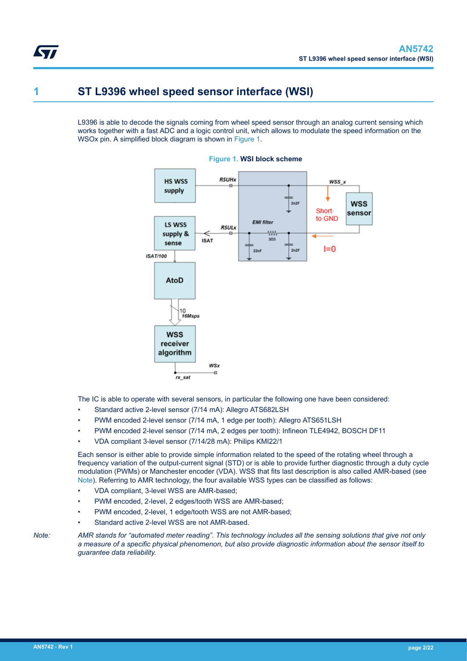## **1 ST L9396 wheel speed sensor interface (WSI)**

L9396 is able to decode the signals coming from wheel speed sensor through an analog current sensing which works together with a fast ADC and a logic control unit, which allows to modulate the speed information on the WSOx pin. A simplified block diagram is shown in Figure 1.



**Figure 1. WSI block scheme**

The IC is able to operate with several sensors, in particular the following one have been considered:

- Standard active 2-level sensor (7/14 mA): Allegro ATS682LSH
- PWM encoded 2-level sensor (7/14 mA, 1 edge per tooth): Allegro ATS651LSH
- PWM encoded 2-level sensor (7/14 mA, 2 edges per tooth): Infineon TLE4942, BOSCH DF11
- VDA compliant 3-level sensor (7/14/28 mA): Philips KMI22/1

Each sensor is either able to provide simple information related to the speed of the rotating wheel through a frequency variation of the output-current signal (STD) or is able to provide further diagnostic through a duty cycle modulation (PWMs) or Manchester encoder (VDA). WSS that fits last description is also called AMR-based (see Note). Referring to AMR technology, the four available WSS types can be classified as follows:

- VDA compliant, 3-level WSS are AMR-based;
- PWM encoded, 2-level, 2 edges/tooth WSS are AMR-based;
- PWM encoded, 2-level, 1 edge/tooth WSS are not AMR-based;
- Standard active 2-level WSS are not AMR-based.

*Note: AMR stands for "automated meter reading". This technology includes all the sensing solutions that give not only a measure of a specific physical phenomenon, but also provide diagnostic information about the sensor itself to guarantee data reliability.*

<span id="page-1-0"></span>57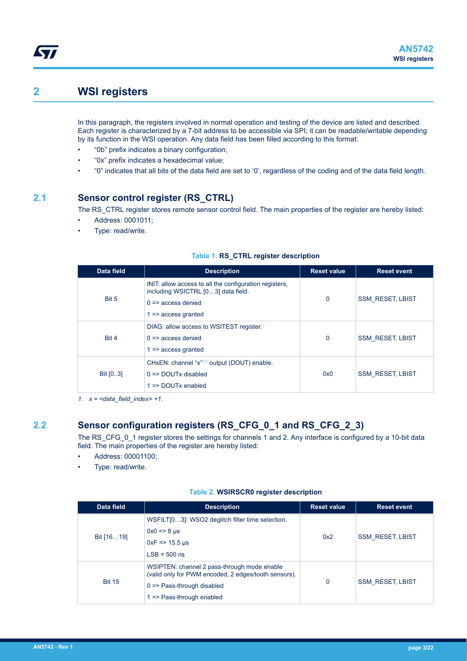## **2 WSI registers**

<span id="page-2-0"></span>*Eal* 

In this paragraph, the registers involved in normal operation and testing of the device are listed and described. Each register is characterized by a 7-bit address to be accessible via SPI; it can be readable/writable depending by its function in the WSI operation. Any data field has been filled according to this format:

- "0b" prefix indicates a binary configuration;
- "0x" prefix indicates a hexadecimal value;
- "0" indicates that all bits of the data field are set to '0', regardless of the coding and of the data field length.

### **2.1 Sensor control register (RS\_CTRL)**

The RS\_CTRL register stores remote sensor control field. The main properties of the register are hereby listed:

- Address: 0001011;
- Type: read/write.

| Data field | <b>Description</b>                                                                                                                                            | <b>Reset value</b> | <b>Reset event</b>      |
|------------|---------------------------------------------------------------------------------------------------------------------------------------------------------------|--------------------|-------------------------|
| Bit 5      | INIT: allow access to all the configuration registers.<br>including WSICTRL [03] data field.<br>$0 \Rightarrow$ access denied<br>$\Rightarrow$ access granted | $\mathbf 0$        | <b>SSM RESET, LBIST</b> |
| Bit 4      | DIAG: allow access to WSITEST register.<br>$0 \Rightarrow$ access denied<br>$\Rightarrow$ access granted                                                      | $\mathbf 0$        | <b>SSM RESET, LBIST</b> |
| Bit [03]   | CHxEN: channel "x" <sup>(1)</sup> output (DOUT) enable.<br>$0 \Rightarrow$ DOUTx disabled<br>$\Rightarrow$ DOUTx enabled                                      | 0x0                | <b>SSM RESET, LBIST</b> |

### **Table 1. RS\_CTRL register description**

*1. x = <data\_field\_index> +1.*

## **2.2 Sensor configuration registers (RS\_CFG\_0\_1 and RS\_CFG\_2\_3)**

The RS\_CFG\_0\_1 register stores the settings for channels 1 and 2. Any interface is configured by a 10-bit data field. The main properties of the register are hereby listed:

- Address: 00001100;
- Type: read/write.

### **Table 2. WSIRSCR0 register description**

| Data field                                             | <b>Description</b>                                                                                                                                                                   | <b>Reset value</b> | <b>Reset event</b>      |
|--------------------------------------------------------|--------------------------------------------------------------------------------------------------------------------------------------------------------------------------------------|--------------------|-------------------------|
|                                                        | WSFILT[03]: WSO2 deglitch filter time selection.<br>$0x0 \Rightarrow 8 \mu s$                                                                                                        |                    |                         |
| Bit [1619]<br>0x2<br>$0xF = 15.5$ µs<br>$LSB = 500$ ns | <b>SSM RESET, LBIST</b>                                                                                                                                                              |                    |                         |
| <b>Bit 15</b>                                          | WSIPTEN: channel 2 pass-through mode enable<br>(valid only for PWM encoded, 2 edges/tooth sensors).<br>$0 \Rightarrow$ Pass-through disabled<br>$1 \Rightarrow$ Pass-through enabled | 0                  | <b>SSM RESET, LBIST</b> |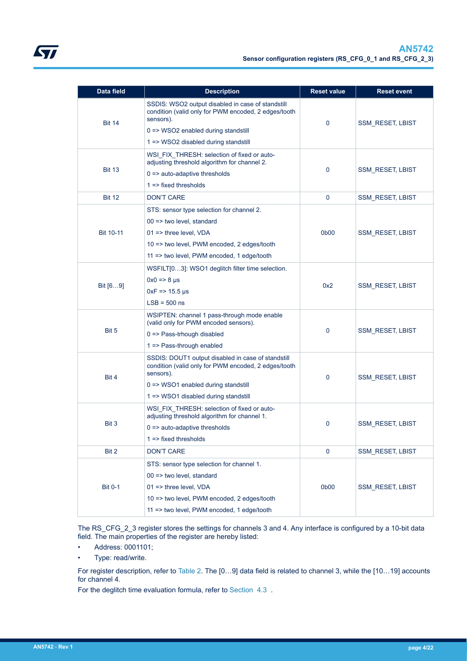| <b>Data field</b> | <b>Description</b>                                                                                                                                                                                                          | <b>Reset value</b> | <b>Reset event</b>      |
|-------------------|-----------------------------------------------------------------------------------------------------------------------------------------------------------------------------------------------------------------------------|--------------------|-------------------------|
| <b>Bit 14</b>     | SSDIS: WSO2 output disabled in case of standstill<br>condition (valid only for PWM encoded, 2 edges/tooth<br>sensors).<br>$0 \Rightarrow$ WSO2 enabled during standstill<br>$1 \Rightarrow$ WSO2 disabled during standstill | 0                  | <b>SSM_RESET, LBIST</b> |
| <b>Bit 13</b>     | WSI FIX THRESH: selection of fixed or auto-<br>adjusting threshold algorithm for channel 2.<br>$0 \Rightarrow$ auto-adaptive thresholds<br>$1 \Rightarrow$ fixed thresholds                                                 | $\mathbf 0$        | <b>SSM_RESET, LBIST</b> |
| <b>Bit 12</b>     | <b>DON'T CARE</b>                                                                                                                                                                                                           | $\mathbf 0$        | <b>SSM_RESET, LBIST</b> |
| <b>Bit 10-11</b>  | STS: sensor type selection for channel 2.<br>$00 \Rightarrow$ two level, standard<br>01 => three level, VDA<br>10 => two level, PWM encoded, 2 edges/tooth<br>11 => two level, PWM encoded, 1 edge/tooth                    | 0b00               | <b>SSM_RESET, LBIST</b> |
| Bit [69]          | WSFILT[03]: WSO1 deglitch filter time selection.<br>$0x0 \Rightarrow 8 \mu s$<br>$0xF = 15.5 \,\mu s$<br>$LSB = 500$ ns                                                                                                     | 0x2                | <b>SSM_RESET, LBIST</b> |
| Bit 5             | WSIPTEN: channel 1 pass-through mode enable<br>(valid only for PWM encoded sensors).<br>$0 \Rightarrow$ Pass-trhough disabled<br>1 => Pass-through enabled                                                                  | 0                  | <b>SSM_RESET, LBIST</b> |
| Bit 4             | SSDIS: DOUT1 output disabled in case of standstill<br>condition (valid only for PWM encoded, 2 edges/tooth<br>sensors).<br>$0 \Rightarrow$ WSO1 enabled during standstill<br>1 => WSO1 disabled during standstill           | 0                  | <b>SSM_RESET, LBIST</b> |
| Bit 3             | WSI FIX THRESH: selection of fixed or auto-<br>adjusting threshold algorithm for channel 1.<br>$0 \Rightarrow$ auto-adaptive thresholds<br>$1 =$ => fixed thresholds                                                        | 0                  | <b>SSM_RESET, LBIST</b> |
| Bit 2             | <b>DON'T CARE</b>                                                                                                                                                                                                           | 0                  | <b>SSM RESET, LBIST</b> |
| <b>Bit 0-1</b>    | STS: sensor type selection for channel 1.<br>00 => two level, standard<br>$01 \Rightarrow$ three level, VDA<br>10 => two level, PWM encoded, 2 edges/tooth<br>11 => two level, PWM encoded, 1 edge/tooth                    | 0b00               | <b>SSM_RESET, LBIST</b> |

The RS\_CFG\_2\_3 register stores the settings for channels 3 and 4. Any interface is configured by a 10-bit data field. The main properties of the register are hereby listed:

- Address: 0001101;
- Type: read/write.

For register description, refer to [Table 2](#page-2-0). The [0…9] data field is related to channel 3, while the [10…19] accounts for channel 4.

For the deglitch time evaluation formula, refer to [Section 4.3](#page-16-0) .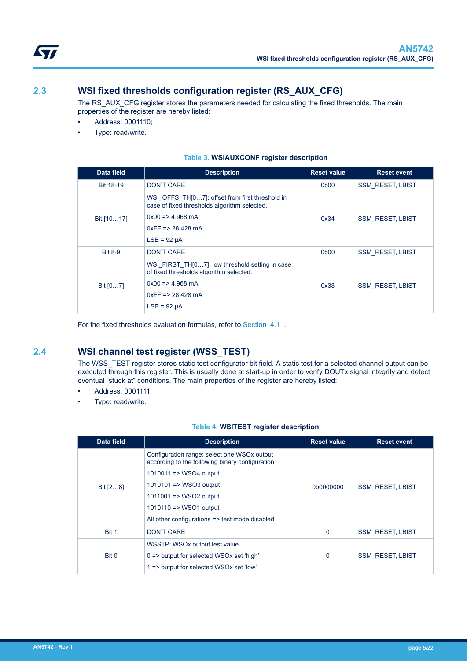<span id="page-4-0"></span>

The RS\_AUX\_CFG register stores the parameters needed for calculating the fixed thresholds. The main properties of the register are hereby listed:

- Address: 0001110;
- Type: read/write.

| Data field       | <b>Description</b>                                                                                                                                                                               | <b>Reset value</b>            | <b>Reset event</b>      |
|------------------|--------------------------------------------------------------------------------------------------------------------------------------------------------------------------------------------------|-------------------------------|-------------------------|
| <b>Bit 18-19</b> | <b>DON'T CARE</b><br>0 <sub>b</sub> 00                                                                                                                                                           |                               | <b>SSM RESET, LBIST</b> |
| Bit [1017]       | WSI OFFS TH[07]: offset from first threshold in<br>case of fixed thresholds algorithm selected.<br>$0x00 \Rightarrow 4.968 \text{ mA}$<br>0x34<br>$0xFF = 28.428 \text{ mA}$<br>$LSB = 92 \mu A$ |                               | <b>SSM RESET, LBIST</b> |
| <b>Bit 8-9</b>   | <b>DON'T CARE</b>                                                                                                                                                                                | 0 <sub>b</sub> 0 <sub>0</sub> | <b>SSM RESET, LBIST</b> |
| Bit $[07]$       | WSI FIRST THI07]: low threshold setting in case<br>of fixed thresholds algorithm selected.<br>$0x00 \Rightarrow 4.968 \text{ mA}$<br>$0xFF = 28.428 mA$<br>$LSB = 92 \mu A$                      | 0x33                          | <b>SSM RESET, LBIST</b> |

### **Table 3. WSIAUXCONF register description**

For the fixed thresholds evaluation formulas, refer to [Section 4.1](#page-14-0) .

## **2.4 WSI channel test register (WSS\_TEST)**

The WSS\_TEST register stores static test configurator bit field. A static test for a selected channel output can be executed through this register. This is usually done at start-up in order to verify DOUTx signal integrity and detect eventual "stuck at" conditions. The main properties of the register are hereby listed:

- Address: 0001111;
- Type: read/write.

#### **Table 4. WSITEST register description**

| Data field | <b>Description</b>                                                                             | <b>Reset value</b> | <b>Reset event</b>      |
|------------|------------------------------------------------------------------------------------------------|--------------------|-------------------------|
|            | Configuration range: select one WSOx output<br>according to the following binary configuration |                    |                         |
|            | $1010011 \Rightarrow$ WSO4 output                                                              |                    |                         |
| Bit [28]   | $1010101 \equiv$ WSO3 output                                                                   | 0b0000000          | <b>SSM RESET, LBIST</b> |
|            | $1011001 \Rightarrow$ WSO2 output                                                              |                    |                         |
|            | $1010110 \equiv y$ WSO1 output                                                                 |                    |                         |
|            | All other configurations => test mode disabled                                                 |                    |                         |
| Bit 1      | <b>DON'T CARE</b>                                                                              | $\mathbf 0$        | <b>SSM RESET, LBIST</b> |
|            | WSSTP: WSOx output test value.                                                                 |                    |                         |
| Bit 0      | $0 \Rightarrow$ output for selected WSOx set 'high'<br>0                                       |                    | <b>SSM RESET, LBIST</b> |
|            | 1 => output for selected WSOx set 'low'                                                        |                    |                         |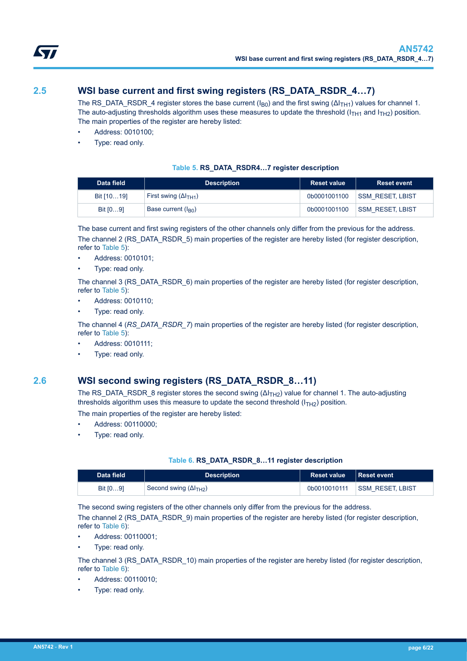<span id="page-5-0"></span>

## **2.5 WSI base current and first swing registers (RS\_DATA\_RSDR\_4…7)**

The RS\_DATA\_RSDR\_4 register stores the base current (I<sub>B0</sub>) and the first swing ( $\Delta I_{TH1}$ ) values for channel 1. The auto-adjusting thresholds algorithm uses these measures to update the threshold ( $I<sub>TH1</sub>$  and  $I<sub>TH2</sub>$ ) position. The main properties of the register are hereby listed:

- Address: 0010100;
- Type: read only.

### **Table 5. RS\_DATA\_RSDR4…7 register description**

| Data field | <b>Description</b>              | <b>Reset value</b> | <b>Reset event</b>      |
|------------|---------------------------------|--------------------|-------------------------|
| Bit [1019] | First swing $(\Delta I_{TH1})$  | 0b0001001100       | <b>SSM RESET, LBIST</b> |
| Bit $[09]$ | Base current (I <sub>B0</sub> ) | 0b0001001100       | <b>SSM RESET, LBIST</b> |

The base current and first swing registers of the other channels only differ from the previous for the address. The channel 2 (RS\_DATA\_RSDR\_5) main properties of the register are hereby listed (for register description, refer to Table 5):

- Address: 0010101;
- Type: read only.

The channel 3 (RS\_DATA\_RSDR\_6) main properties of the register are hereby listed (for register description, refer to Table 5):

- Address: 0010110;
- Type: read only.

The channel 4 (*RS\_DATA\_RSDR\_7*) main properties of the register are hereby listed (for register description, refer to Table 5):

- Address: 0010111;
- Type: read only.

### **2.6 WSI second swing registers (RS\_DATA\_RSDR\_8…11)**

The RS\_DATA\_RSDR\_8 register stores the second swing (ΔI<sub>TH2</sub>) value for channel 1. The auto-adjusting thresholds algorithm uses this measure to update the second threshold  $(I<sub>TH2</sub>)$  position.

The main properties of the register are hereby listed:

- Address: 00110000;
- Type: read only.

### **Table 6. RS\_DATA\_RSDR\_8…11 register description**

| Data field | <b>Description</b>              | <b>Reset value</b> | ⊟Reset event <sup>i</sup> |
|------------|---------------------------------|--------------------|---------------------------|
| Bit $[09]$ | Second swing $(\Delta I_{TH2})$ | 0b0010010111       | <b>SSM RESET LBIST</b>    |

The second swing registers of the other channels only differ from the previous for the address.

The channel 2 (RS\_DATA\_RSDR\_9) main properties of the register are hereby listed (for register description, refer to Table 6):

- Address: 00110001;
- Type: read only.

The channel 3 (RS\_DATA\_RSDR\_10) main properties of the register are hereby listed (for register description, refer to Table 6):

- Address: 00110010;
- Type: read only.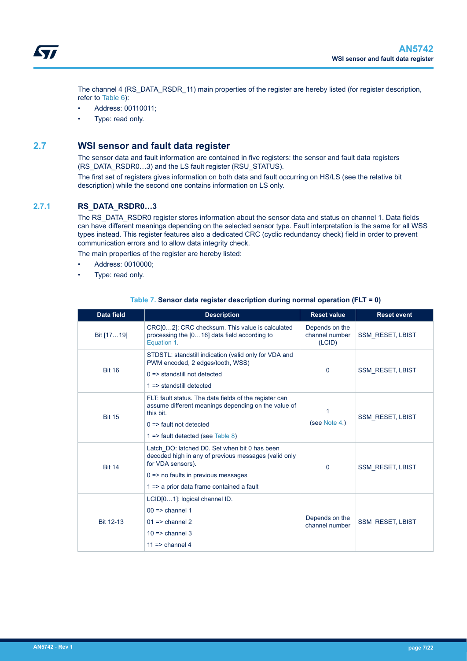<span id="page-6-0"></span>The channel 4 (RS\_DATA\_RSDR\_11) main properties of the register are hereby listed (for register description, refer to [Table 6](#page-5-0)):

- Address: 00110011;
- Type: read only.

### **2.7 WSI sensor and fault data register**

The sensor data and fault information are contained in five registers: the sensor and fault data registers (RS\_DATA\_RSDR0…3) and the LS fault register (RSU\_STATUS).

The first set of registers gives information on both data and fault occurring on HS/LS (see the relative bit description) while the second one contains information on LS only.

### **2.7.1 RS\_DATA\_RSDR0…3**

The RS\_DATA\_RSDR0 register stores information about the sensor data and status on channel 1. Data fields can have different meanings depending on the selected sensor type. Fault interpretation is the same for all WSS types instead. This register features also a dedicated CRC (cyclic redundancy check) field in order to prevent communication errors and to allow data integrity check.

The main properties of the register are hereby listed:

- Address: 0010000;
- Type: read only.

| Data field    | <b>Description</b>                                                                                                                                                                                                             | <b>Reset value</b>                         | <b>Reset event</b>      |
|---------------|--------------------------------------------------------------------------------------------------------------------------------------------------------------------------------------------------------------------------------|--------------------------------------------|-------------------------|
| Bit [1719]    | CRC[02]: CRC checksum. This value is calculated<br>processing the [016] data field according to<br>Equation 1.                                                                                                                 | Depends on the<br>channel number<br>(LCID) | <b>SSM RESET, LBIST</b> |
| <b>Bit 16</b> | STDSTL: standstill indication (valid only for VDA and<br>PWM encoded, 2 edges/tooth, WSS)<br>$0 \Rightarrow$ standstill not detected<br>$1 \Rightarrow$ standstill detected                                                    | $\Omega$                                   | <b>SSM RESET, LBIST</b> |
| <b>Bit 15</b> | FLT: fault status. The data fields of the register can<br>assume different meanings depending on the value of<br>this bit.<br>$0 \Rightarrow$ fault not detected<br>$1 \Rightarrow$ fault detected (see Table 8)               | 1<br>(see Note 4.)                         | <b>SSM RESET, LBIST</b> |
| <b>Bit 14</b> | Latch DO: latched D0. Set when bit 0 has been<br>decoded high in any of previous messages (valid only<br>for VDA sensors).<br>0<br>$0 \Rightarrow$ no faults in previous messages<br>1 => a prior data frame contained a fault |                                            | <b>SSM RESET, LBIST</b> |
| Bit 12-13     | LCID[01]: logical channel ID.<br>$00 \Rightarrow$ channel 1<br>$01 \Rightarrow$ channel 2<br>$10 \Rightarrow$ channel 3<br>$11 \Rightarrow$ channel 4                                                                          | Depends on the<br>channel number           | <b>SSM RESET, LBIST</b> |

#### **Table 7. Sensor data register description during normal operation (FLT = 0)**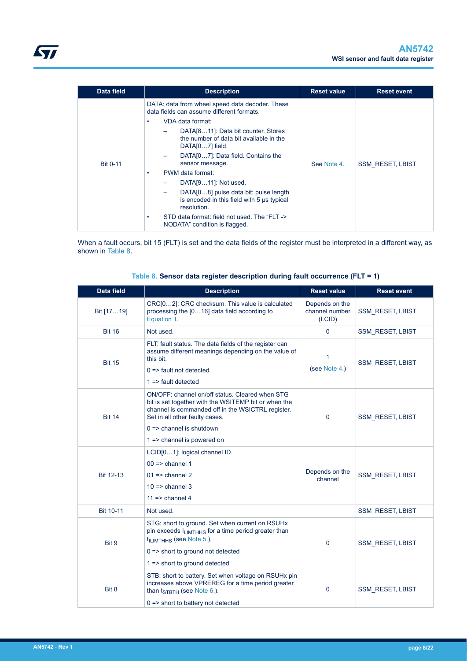<span id="page-7-0"></span>

| Data field      | <b>Reset event</b>      |
|-----------------|-------------------------|
| <b>Bit 0-11</b> | <b>SSM RESET, LBIST</b> |
|                 |                         |

When a fault occurs, bit 15 (FLT) is set and the data fields of the register must be interpreted in a different way, as shown in Table 8.

| <b>Data field</b> | <b>Description</b>                                                                                                                                                                                                                                                             | <b>Reset value</b>                                   | <b>Reset event</b>      |
|-------------------|--------------------------------------------------------------------------------------------------------------------------------------------------------------------------------------------------------------------------------------------------------------------------------|------------------------------------------------------|-------------------------|
| Bit [1719]        | CRC[02]: CRC checksum. This value is calculated<br>processing the [016] data field according to<br>Equation 1.                                                                                                                                                                 | Depends on the<br>channel number<br>(LCID)           | <b>SSM RESET, LBIST</b> |
| <b>Bit 16</b>     | Not used.                                                                                                                                                                                                                                                                      | $\mathbf 0$                                          | SSM_RESET, LBIST        |
| <b>Bit 15</b>     | FLT: fault status. The data fields of the register can<br>assume different meanings depending on the value of<br>this bit.<br>$0 \Rightarrow$ fault not detected<br>$1 \Rightarrow$ fault detected                                                                             | 1<br>(see Note 4.)                                   | <b>SSM RESET, LBIST</b> |
| <b>Bit 14</b>     | ON/OFF: channel on/off status. Cleared when STG<br>bit is set together with the WSITEMP bit or when the<br>channel is commanded off in the WSICTRL register.<br>Set in all other faulty cases.<br>$0 \Rightarrow$ channel is shutdown<br>$1 \Rightarrow$ channel is powered on | $\Omega$                                             | <b>SSM RESET, LBIST</b> |
| Bit 12-13         | LCID[01]: logical channel ID.<br>$00 \Rightarrow$ channel 1<br>$01 \Rightarrow$ channel 2<br>$10 \equiv$ channel 3<br>$11 \equiv$ channel 4                                                                                                                                    | Depends on the<br><b>SSM RESET, LBIST</b><br>channel |                         |
| <b>Bit 10-11</b>  | Not used.                                                                                                                                                                                                                                                                      |                                                      | <b>SSM RESET, LBIST</b> |
| Bit 9             | STG: short to ground. Set when current on RSUHx<br>pin exceeds ILIMTHHS for a time period greater than<br>t <sub>ILIMTHHS</sub> (see Note 5.).<br>$0 \Rightarrow$ short to ground not detected<br>1 => short to ground detected                                                | $\mathbf 0$<br><b>SSM_RESET, LBIST</b>               |                         |
| Bit 8             | STB: short to battery. Set when voltage on RSUH <sub>x</sub> pin<br>increases above VPREREG for a time period greater<br>than t <sub>STBTH</sub> (see Note 6.).<br>$0 \Rightarrow$ short to battery not detected                                                               | 0                                                    | <b>SSM RESET, LBIST</b> |

### **Table 8. Sensor data register description during fault occurrence (FLT = 1)**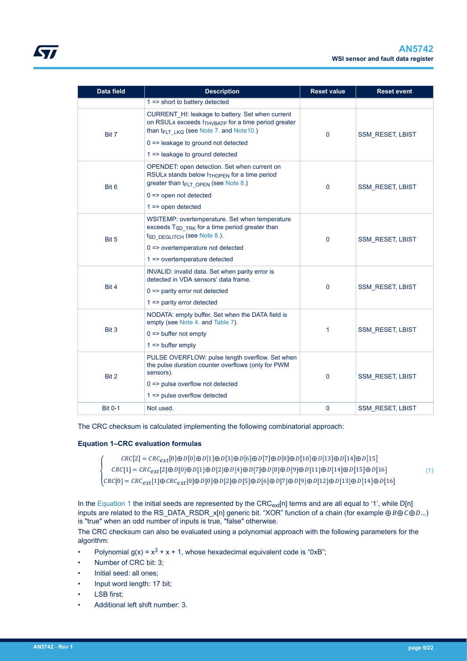<span id="page-8-0"></span>

| <b>Data field</b> | <b>Description</b>                                                                                                                                                                                                            | <b>Reset value</b> | <b>Reset event</b>      |
|-------------------|-------------------------------------------------------------------------------------------------------------------------------------------------------------------------------------------------------------------------------|--------------------|-------------------------|
|                   | $1 \Rightarrow$ short to battery detected                                                                                                                                                                                     |                    |                         |
| Bit 7             | CURRENT_HI: leakage to battery. Set when current<br>on RSULx exceeds I <sub>THVBATP</sub> for a time period greater<br>than t <sub>FLT LKG</sub> (see Note 7. and Note 10.)<br>$0 \Rightarrow$ leakage to ground not detected | $\Omega$           | <b>SSM RESET, LBIST</b> |
|                   | 1 => leakage to ground detected                                                                                                                                                                                               |                    |                         |
| Bit 6             | OPENDET: open detection. Set when current on<br>RSULx stands below $I_{THOPFN}$ for a time period<br>greater than $t_{FLT}$ open (see Note 8.)<br>$0 \Rightarrow$ open not detected<br>$1 \Rightarrow$ open detected          | $\Omega$           | <b>SSM RESET, LBIST</b> |
| Bit 5             | WSITEMP: overtemperature. Set when temperature<br>exceeds T <sub>SD</sub> TRK for a time period greater than<br>tsp_pegLITCH (see Note 8.).<br>$0 \Rightarrow$ overtemperature not detected<br>1 => overtemperature detected  | $\mathbf 0$        | <b>SSM_RESET, LBIST</b> |
| Bit 4             | INVALID: invalid data. Set when parity error is<br>detected in VDA sensors' data frame.<br>$0 \Rightarrow$ parity error not detected<br>$1 \Rightarrow$ parity error detected                                                 | $\mathbf{0}$       | <b>SSM RESET, LBIST</b> |
| Bit 3             | NODATA: empty buffer. Set when the DATA field is<br>empty (see Note 4. and Table 7).<br>$0 \Rightarrow$ buffer not empty<br>$1 \Rightarrow$ buffer empty                                                                      | 1                  | <b>SSM RESET, LBIST</b> |
| Bit 2             | PULSE OVERFLOW: pulse length overflow. Set when<br>the pulse duration counter overflows (only for PWM<br>sensors).<br>$0 \Rightarrow$ pulse overflow not detected<br>1 => pulse overflow detected                             | $\Omega$           | <b>SSM RESET, LBIST</b> |
| <b>Bit 0-1</b>    | Not used.                                                                                                                                                                                                                     | $\mathbf 0$        | <b>SSM RESET, LBIST</b> |

The CRC checksum is calculated implementing the following combinatorial approach:

### **Equation 1–CRC evaluation formulas**

 $CRC[2] = CRC_{ext}$ [0] $\oplus D$ [0] $\oplus D$ [1] $\oplus D$ [3] $\oplus D$ [6] $\oplus D$ [7] $\oplus D$ [10] $\oplus D$ [13] $\oplus D$ [14] $\oplus D$ [15  $\mathcal{CRC}[1] = \mathcal{CRC}_{ext} [2] \oplus \mathcal{D}[0] \oplus \mathcal{D}[1] \oplus \mathcal{D}[2] \oplus \mathcal{D}[4] \oplus \mathcal{D}[7] \oplus \mathcal{D}[8] \oplus \mathcal{D}[9] \oplus \mathcal{D}[11] \oplus \mathcal{D}[14] \oplus \mathcal{D}[15] \oplus \mathcal{D}[16]$  $\mathcal{C}\mathcal{R}\mathcal{C}[0] = \mathcal{C}\mathcal{R}\mathcal{C}_{ext}[1] \oplus \mathcal{C}\mathcal{R}\mathcal{C}_{ext}[0] \oplus \mathcal{D}[0] \oplus \mathcal{D}[2] \oplus \mathcal{D}[6] \oplus \mathcal{D}[7] \oplus \mathcal{D}[12] \oplus \mathcal{D}[13] \oplus \mathcal{D}[14] \oplus \mathcal{D}[16]$ 

In the Equation 1 the initial seeds are represented by the  $CRC_{exf}[n]$  terms and are all equal to '1', while  $D[n]$ inputs are related to the RS\_DATA\_RSDR\_x[n] generic bit. "XOR" function of a chain (for example  $\oplus B \oplus C \oplus D$ ...) is "true" when an odd number of inputs is true, "false" otherwise.

The CRC checksum can also be evaluated using a polynomial approach with the following parameters for the algorithm:

- Polynomial  $g(x) = x^3 + x + 1$ , whose hexadecimal equivalent code is "0xB";
- Number of CRC bit: 3;
- Initial seed: all ones;
- Input word length: 17 bit;
- LSB first;
- Additional left shift number: 3.

(1)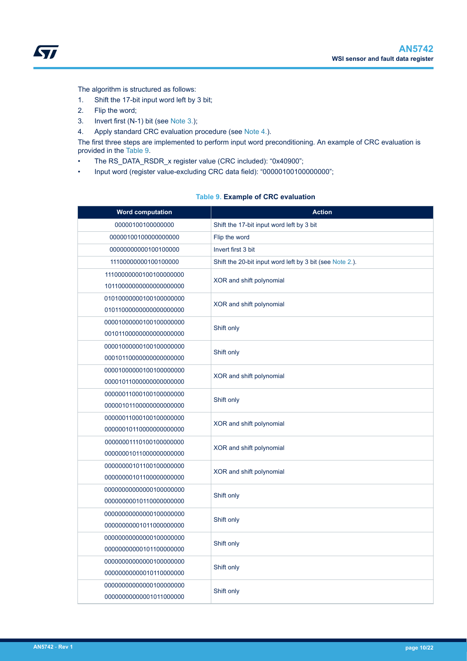<span id="page-9-0"></span>The algorithm is structured as follows:

- 1. Shift the 17-bit input word left by 3 bit;
- 2. Flip the word;
- 3. Invert first (N-1) bit (see [Note](#page-10-0) [3.\)](#page-10-0);
- 4. Apply standard CRC evaluation procedure (see [Note](#page-10-0) [4.\)](#page-10-0).

The first three steps are implemented to perform input word preconditioning. An example of CRC evaluation is provided in the Table 9.

- The RS\_DATA\_RSDR\_x register value (CRC included): "0x40900";
- Input word (register value-excluding CRC data field): "000001001000000000";

### **Table 9. Example of CRC evaluation**

| <b>Word computation</b> | <b>Action</b>                                            |  |
|-------------------------|----------------------------------------------------------|--|
| 00000100100000000       | Shift the 17-bit input word left by 3 bit                |  |
| 00000100100000000000    | Flip the word                                            |  |
| 00000000000100100000    | Invert first 3 bit                                       |  |
| 11100000000100100000    | Shift the 20-bit input word left by 3 bit (see Note 2.). |  |
| 11100000000100100000000 | XOR and shift polynomial                                 |  |
| 10110000000000000000000 |                                                          |  |
| 01010000000100100000000 | XOR and shift polynomial                                 |  |
| 01011000000000000000000 |                                                          |  |
| 00001000000100100000000 | Shift only                                               |  |
| 00101100000000000000000 |                                                          |  |
| 00001000000100100000000 | Shift only                                               |  |
| 00010110000000000000000 |                                                          |  |
| 00001000000100100000000 | XOR and shift polynomial                                 |  |
| 00001011000000000000000 |                                                          |  |
| 00000011000100100000000 | Shift only                                               |  |
| 00000101100000000000000 |                                                          |  |
| 00000011000100100000000 | XOR and shift polynomial                                 |  |
| 00000010110000000000000 |                                                          |  |
| 00000001110100100000000 | XOR and shift polynomial                                 |  |
| 00000001011000000000000 |                                                          |  |
| 00000000101100100000000 | XOR and shift polynomial                                 |  |
| 00000000101100000000000 |                                                          |  |
| 00000000000000100000000 | Shift only                                               |  |
| 00000000010110000000000 |                                                          |  |
| 00000000000000100000000 | Shift only                                               |  |
| 00000000001011000000000 |                                                          |  |
| 00000000000000100000000 | Shift only                                               |  |
| 00000000000101100000000 |                                                          |  |
| 00000000000000100000000 | Shift only                                               |  |
| 00000000000010110000000 |                                                          |  |
| 00000000000000100000000 | Shift only                                               |  |
| 00000000000001011000000 |                                                          |  |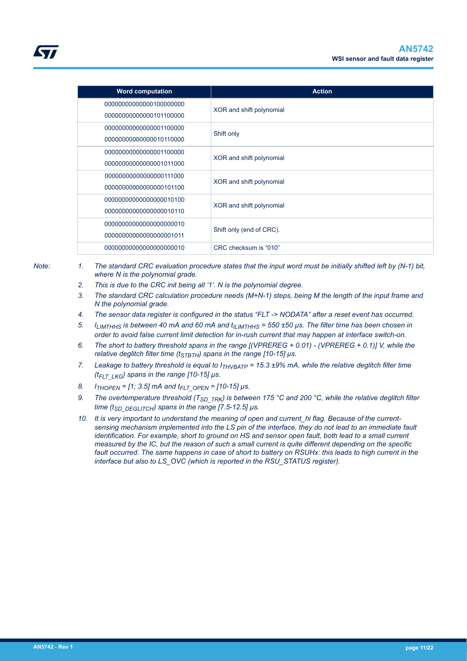<span id="page-10-0"></span>

| <b>Word computation</b> | <b>Action</b>            |  |
|-------------------------|--------------------------|--|
| 00000000000000100000000 | XOR and shift polynomial |  |
| 00000000000000101100000 |                          |  |
| 00000000000000001100000 |                          |  |
| 00000000000000010110000 | Shift only               |  |
| 00000000000000001100000 |                          |  |
| 00000000000000001011000 | XOR and shift polynomial |  |
| 00000000000000000111000 | XOR and shift polynomial |  |
| 00000000000000000101100 |                          |  |
| 00000000000000000010100 | XOR and shift polynomial |  |
| 00000000000000000010110 |                          |  |
| 00000000000000000000010 | Shift only (end of CRC). |  |
| 00000000000000000001011 |                          |  |
| 00000000000000000000010 | CRC checksum is "010"    |  |

- *Note: 1. The standard CRC evaluation procedure states that the input word must be initially shifted left by (N-1) bit, where N is the polynomial grade.*
	- *2. This is due to the CRC init being all '1'. N is the polynomial degree.*
	- *3. The standard CRC calculation procedure needs (M+N-1) steps, being M the length of the input frame and N the polynomial grade.*
	- *4. The sensor data register is configured in the status "FLT -> NODATA" after a reset event has occurred.*
	- *5. ILIMTHHS is between 40 mA and 60 mA and tILIMTHHS = 550 ±50 µs. The filter time has been chosen in order to avoid false current limit detection for in-rush current that may happen at interface switch-on.*
	- *6. The short to battery threshold spans in the range [(VPREREG + 0.01) (VPREREG + 0.1)] V, while the relative deglitch filter time (tSTBTH) spans in the range [10-15] µs.*
	- *7. Leakage to battery threshold is equal to ITHVBATP = 15.3 ±9% mA, while the relative deglitch filter time (tFLT\_LKG) spans in the range [10-15] µs.*
	- *8. ITHOPEN = [1; 3.5] mA and tFLT\_OPEN = [10-15] µs.*
	- *9. The overtemperature threshold (TSD\_TRK) is between 175 °C and 200 °C, while the relative deglitch filter time (tSD\_DEGLITCH) spans in the range [7.5-12.5] µs.*
	- 10. It is very important to understand the meaning of open and current hi flag. Because of the current*sensing mechanism implemented into the LS pin of the interface, they do not lead to an immediate fault identification. For example, short to ground on HS and sensor open fault, both lead to a small current measured by the IC, but the reason of such a small current is quite different depending on the specific fault occurred. The same happens in case of short to battery on RSUHx: this leads to high current in the interface but also to LS\_OVC (which is reported in the RSU\_STATUS register).*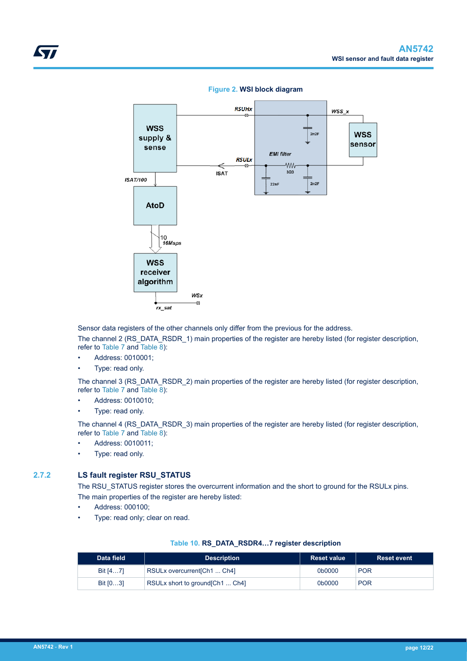<span id="page-11-0"></span>

#### **Figure 2. WSI block diagram**

Sensor data registers of the other channels only differ from the previous for the address.

The channel 2 (RS\_DATA\_RSDR\_1) main properties of the register are hereby listed (for register description, refer to [Table 7](#page-6-0) and [Table 8](#page-7-0)):

- Address: 0010001;
- Type: read only.

The channel 3 (RS\_DATA\_RSDR\_2) main properties of the register are hereby listed (for register description, refer to [Table 7](#page-6-0) and [Table 8](#page-7-0)):

- Address: 0010010;
- Type: read only.

The channel 4 (RS\_DATA\_RSDR\_3) main properties of the register are hereby listed (for register description, refer to [Table 7](#page-6-0) and [Table 8](#page-7-0)):

- Address: 0010011;
- Type: read only.

### **2.7.2 LS fault register RSU\_STATUS**

The RSU\_STATUS register stores the overcurrent information and the short to ground for the RSULx pins. The main properties of the register are hereby listed:

- Address: 000100;
- Type: read only; clear on read.

#### **Table 10. RS\_DATA\_RSDR4…7 register description**

| Data field | <b>Description</b>               | <b>Reset value</b> | <b>Reset event</b> |
|------------|----------------------------------|--------------------|--------------------|
| Bit $[47]$ | RSULx overcurrent [Ch1  Ch4]     | 0b0000             | <b>POR</b>         |
| Bit $[03]$ | RSULx short to ground [Ch1  Ch4] | 0b0000             | <b>POR</b>         |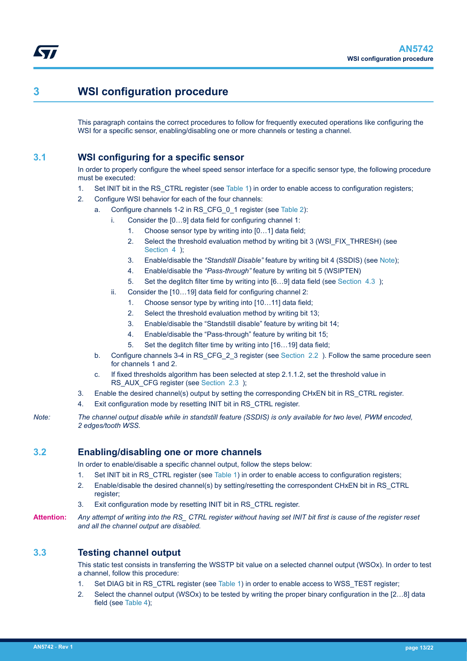## **3 WSI configuration procedure**

This paragraph contains the correct procedures to follow for frequently executed operations like configuring the WSI for a specific sensor, enabling/disabling one or more channels or testing a channel.

### **3.1 WSI configuring for a specific sensor**

In order to properly configure the wheel speed sensor interface for a specific sensor type, the following procedure must be executed:

- 1. Set INIT bit in the RS CTRL register (see [Table 1\)](#page-2-0) in order to enable access to configuration registers;
- 2. Configure WSI behavior for each of the four channels:
	- a. Configure channels 1-2 in RS\_CFG\_0\_1 register (see [Table 2](#page-2-0)):
		- i. Consider the [0…9] data field for configuring channel 1:
			- 1. Choose sensor type by writing into [0…1] data field;
			- 2. Select the threshold evaluation method by writing bit 3 (WSI\_FIX\_THRESH) (see [Section 4](#page-14-0) );
			- 3. Enable/disable the *"Standstill Disable"* feature by writing bit 4 (SSDIS) (see Note);
			- 4. Enable/disable the *"Pass-through"* feature by writing bit 5 (WSIPTEN)
			- 5. Set the deglitch filter time by writing into [6…9] data field (see [Section 4.3](#page-16-0) );
		- ii. Consider the [10…19] data field for configuring channel 2:
			- 1. Choose sensor type by writing into [10…11] data field;
			- 2. Select the threshold evaluation method by writing bit 13;
			- 3. Enable/disable the "Standstill disable" feature by writing bit 14;
			- 4. Enable/disable the "Pass-through" feature by writing bit 15;
			- 5. Set the deglitch filter time by writing into [16…19] data field;
	- b. Configure channels 3-4 in RS CFG 2 3 register (see [Section 2.2 \)](#page-2-0). Follow the same procedure seen for channels 1 and 2.
	- c. If fixed thresholds algorithm has been selected at step 2.1.1.2, set the threshold value in RS\_AUX\_CFG register (see [Section 2.3](#page-4-0) );
- 3. Enable the desired channel(s) output by setting the corresponding CHxEN bit in RS\_CTRL register.
- 4. Exit configuration mode by resetting INIT bit in RS\_CTRL register.
- *Note: The channel output disable while in standstill feature (SSDIS) is only available for two level, PWM encoded, 2 edges/tooth WSS.*

### **3.2 Enabling/disabling one or more channels**

In order to enable/disable a specific channel output, follow the steps below:

- 1. Set INIT bit in RS\_CTRL register (see [Table 1\)](#page-2-0) in order to enable access to configuration registers;
- 2. Enable/disable the desired channel(s) by setting/resetting the correspondent CHxEN bit in RS\_CTRL register;
- 3. Exit configuration mode by resetting INIT bit in RS\_CTRL register.
- **Attention:** *Any attempt of writing into the RS\_ CTRL register without having set INIT bit first is cause of the register reset and all the channel output are disabled.*

### **3.3 Testing channel output**

This static test consists in transferring the WSSTP bit value on a selected channel output (WSOx). In order to test a channel, follow this procedure:

- 1. Set DIAG bit in RS CTRL register (see [Table 1\)](#page-2-0) in order to enable access to WSS TEST register;
- 2. Select the channel output (WSOx) to be tested by writing the proper binary configuration in the [2…8] data field (see [Table 4\)](#page-4-0);

<span id="page-12-0"></span>ST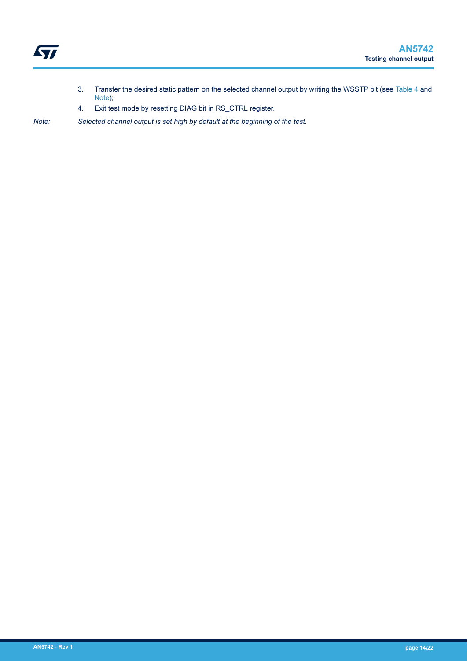- 3. Transfer the desired static pattern on the selected channel output by writing the WSSTP bit (see [Table 4](#page-4-0) and Note);
- 4. Exit test mode by resetting DIAG bit in RS\_CTRL register.

*Note: Selected channel output is set high by default at the beginning of the test.*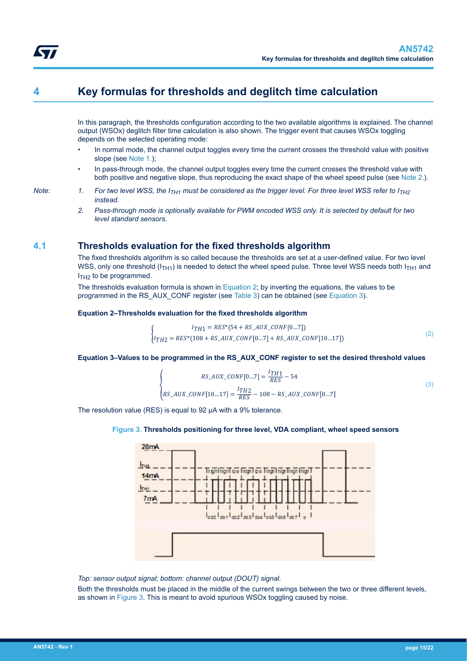## <span id="page-14-0"></span>**4 Key formulas for thresholds and deglitch time calculation**

In this paragraph, the thresholds configuration according to the two available algorithms is explained. The channel output (WSOx) deglitch filter time calculation is also shown. The trigger event that causes WSOx toggling depends on the selected operating mode:

- In normal mode, the channel output toggles every time the current crosses the threshold value with positive slope (see Note 1.);
- In pass-through mode, the channel output toggles every time the current crosses the threshold value with both positive and negative slope, thus reproducing the exact shape of the wheel speed pulse (see Note 2.).
- *Note:* 1. For two level WSS, the  $I_{TH1}$  must be considered as the trigger level. For three level WSS refer to  $I_{TH2}$ *instead.*
	- *2. Pass-through mode is optionally available for PWM encoded WSS only. It is selected by default for two level standard sensors.*

### **4.1 Thresholds evaluation for the fixed thresholds algorithm**

The fixed thresholds algorithm is so called because the thresholds are set at a user-defined value. For two level WSS, only one threshold ( $I<sub>TH1</sub>$ ) is needed to detect the wheel speed pulse. Three level WSS needs both  $I<sub>TH1</sub>$  and  $I<sub>TH2</sub>$  to be programmed.

The thresholds evaluation formula is shown in Equation 2; by inverting the equations, the values to be programmed in the RS\_AUX\_CONF register (see [Table 3\)](#page-4-0) can be obtained (see Equation 3).

### **Equation 2–Thresholds evaluation for the fixed thresholds algorithm**

$$
\begin{cases}\nI_{TH1} = RES^*(54 + RS\_AUX\_CONF[0...7]) \\
I_{TH2} = RES^*(108 + RS\_AUX\_CONF[0...7] + RS\_AUX\_CONF[10...17])\n\end{cases}
$$
\n(2)

### **Equation 3–Values to be programmed in the RS\_AUX\_CONF register to set the desired threshold values**

$$
RS\_AUX\_CONF[0...7] = \frac{lTH1}{RES} - 54
$$
  
\n
$$
RS\_AUX\_CONF[10...17] = \frac{lTH2}{RES} - 108 - RS\_AUX\_CONF[0...7]
$$
 (3)

The resolution value (RES) is equal to 92 µA with a 9% tolerance.

### **Figure 3. Thresholds positioning for three level, VDA compliant, wheel speed sensors**



*Top: sensor output signal; bottom: channel output (DOUT) signal.*

Both the thresholds must be placed in the middle of the current swings between the two or three different levels, as shown in Figure 3. This is meant to avoid spurious WSOx toggling caused by noise.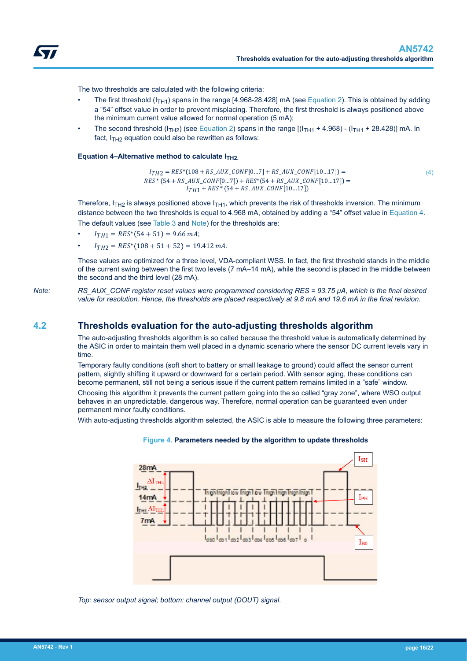<span id="page-15-0"></span>

The two thresholds are calculated with the following criteria:

- The first threshold ( $I<sub>TH1</sub>$ ) spans in the range [4.968-28.428] mA (see [Equation 2\)](#page-14-0). This is obtained by adding a "54" offset value in order to prevent misplacing. Therefore, the first threshold is always positioned above the minimum current value allowed for normal operation (5 mA);
- The second threshold ( $I<sub>TH2</sub>$ ) (see [Equation 2](#page-14-0)) spans in the range  $[(I<sub>TH1</sub> + 4.968) (I<sub>TH1</sub> + 28.428)]$  mA. In fact,  $I_{TH2}$  equation could also be rewritten as follows:

#### **Equation 4–Alternative method to calculate I<sub>TH2</sub>.**

 $I_{TH2} = RES^*(108 + RS\_AUX\_CONF[0...7] + RS\_AUX\_CONF[10...17]) =$  $RES*(54 + RS\_AUX\_CONF[0...7]) + RES*(54 + RS\_AUX\_CONF[10...17]) =$  $I_{TH1}$  + RES<sup>\*</sup> (54 + RS\_AUX\_CONF[10...17])

(4)

Therefore,  $I_{TH2}$  is always positioned above  $I_{TH1}$ , which prevents the risk of thresholds inversion. The minimum distance between the two thresholds is equal to 4.968 mA, obtained by adding a "54" offset value in Equation 4.

The default values (see [Table 3](#page-4-0) and Note) for the thresholds are:

- $I_{TH1} = RES^*(54 + 51) = 9.66$  mA;
- $I_{TH2} = RES^{*}(108 + 51 + 52) = 19.412 \text{ mA}.$

These values are optimized for a three level, VDA-compliant WSS. In fact, the first threshold stands in the middle of the current swing between the first two levels (7 mA–14 mA), while the second is placed in the middle between the second and the third level (28 mA).

*Note: RS\_AUX\_CONF register reset values were programmed considering RES = 93.75 µA, which is the final desired value for resolution. Hence, the thresholds are placed respectively at 9.8 mA and 19.6 mA in the final revision.*

### **4.2 Thresholds evaluation for the auto-adjusting thresholds algorithm**

The auto-adjusting thresholds algorithm is so called because the threshold value is automatically determined by the ASIC in order to maintain them well placed in a dynamic scenario where the sensor DC current levels vary in time.

Temporary faulty conditions (soft short to battery or small leakage to ground) could affect the sensor current pattern, slightly shifting it upward or downward for a certain period. With sensor aging, these conditions can become permanent, still not being a serious issue if the current pattern remains limited in a "safe" window.

Choosing this algorithm it prevents the current pattern going into the so called "gray zone", where WSO output behaves in an unpredictable, dangerous way. Therefore, normal operation can be guaranteed even under permanent minor faulty conditions.

With auto-adjusting thresholds algorithm selected, the ASIC is able to measure the following three parameters:



#### **Figure 4. Parameters needed by the algorithm to update thresholds**

*Top: sensor output signal; bottom: channel output (DOUT) signal.*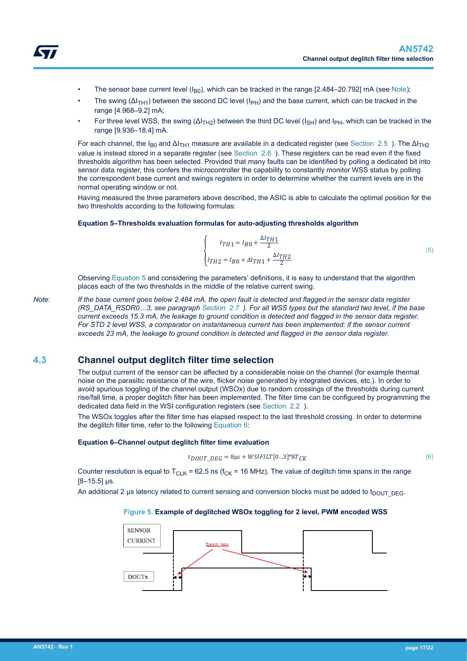- <span id="page-16-0"></span>The sensor base current level ( $I_{B0}$ ), which can be tracked in the range [2.484–20.792] mA (see Note);
- The swing  $(\Delta I_{TH1})$  between the second DC level ( $I_{PH}$ ) and the base current, which can be tracked in the range [4.968–9.2] mA;
- For three level WSS, the swing  $(\Delta I_{TH2})$  between the third DC level ( $I_{SH}$ ) and  $I_{PH}$ , which can be tracked in the range [9.936–18.4] mA.

For each channel, the I<sub>B0</sub> and  $\Delta I$ <sub>TH1</sub> measure are available in a dedicated register (see Section 2.5). The  $\Delta I$ <sub>TH2</sub> value is instead stored in a separate register (see Section 2.6). These registers can be read even if the fixed thresholds algorithm has been selected. Provided that many faults can be identified by polling a dedicated bit into sensor data register, this confers the microcontroller the capability to constantly monitor WSS status by polling the correspondent base current and swings registers in order to determine whether the current levels are in the normal operating window or not.

Having measured the three parameters above described, the ASIC is able to calculate the optimal position for the two thresholds according to the following formulas:

### **Equation 5–Thresholds evaluation formulas for auto-adjusting thresholds algorithm**

$$
\begin{cases}\nI_{TH1} = I_{B0} + \frac{\Delta I_{TH1}}{2} \\
I_{TH2} = I_{B0} + \Delta I_{TH1} + \frac{\Delta I_{TH2}}{2}\n\end{cases}
$$
\n(5)

Observing Equation 5 and considering the parameters' definitions, it is easy to understand that the algorithm places each of the two thresholds in the middle of the relative current swing.

*Note: If the base current goes below 2.484 mA, the open fault is detected and flagged in the sensor data register (RS\_DATA\_RSDR0…3, see paragraph [Section 2.7 \)](#page-6-0). For all WSS types but the standard two level, if the base current exceeds 15.3 mA, the leakage to ground condition is detected and flagged in the sensor data register. For STD 2 level WSS, a comparator on instantaneous current has been implemented: if the sensor current exceeds 23 mA, the leakage to ground condition is detected and flagged in the sensor data register.*

### **4.3 Channel output deglitch filter time selection**

The output current of the sensor can be affected by a considerable noise on the channel (for example thermal noise on the parasitic resistance of the wire, flicker noise generated by integrated devices, etc.). In order to avoid spurious toggling of the channel output (WSOx) due to random crossings of the thresholds during current rise/fall time, a proper deglitch filter has been implemented. The filter time can be configured by programming the dedicated data field in the WSI configuration registers (see [Section 2.2](#page-2-0) ).

The WSOx toggles after the filter time has elapsed respect to the last threshold crossing. In order to determine the deglitch filter time, refer to the following Equation 6:

#### **Equation 6–Channel output deglitch filter time evaluation**

$$
t_{DOUT\_DEG} = 8\mu s + WSIFILT[0...3]*8T_{CK}
$$
\n
$$
(6)
$$

Counter resolution is equal to  $T_{\text{ClK}}$  = 62.5 ns ( $f_{\text{CK}}$  = 16 MHz). The value of deglitch time spans in the range  $[8-15.5]$  µs.

An additional 2 µs latency related to current sensing and conversion blocks must be added to  $t_{DOUT-DEG}$ .

### **Figure 5. Example of deglitched WSOx toggling for 2 level, PWM encoded WSS**

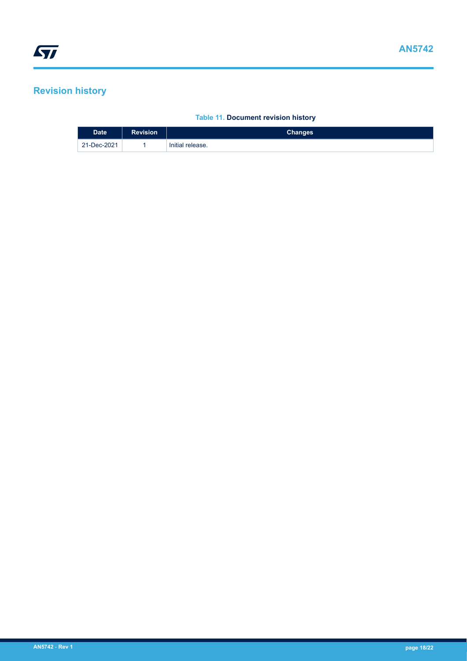## <span id="page-17-0"></span>**Revision history**

### **Table 11. Document revision history**

| Date <sup>1</sup> | <b>Revision</b> | <b>Changes</b>   |
|-------------------|-----------------|------------------|
| 21-Dec-2021       |                 | Initial release. |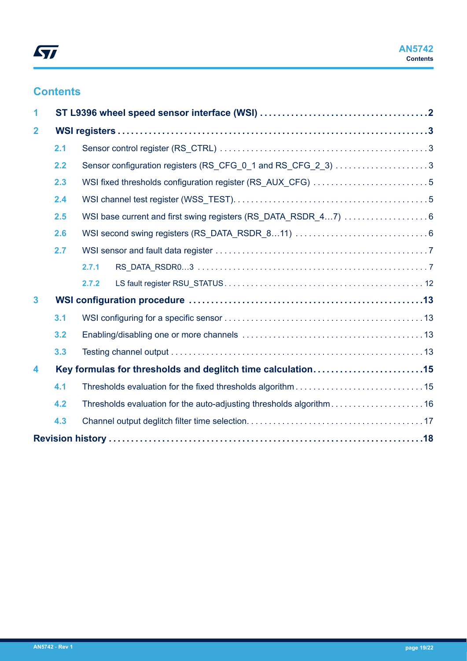## **Contents**

| 1                       |                                                                               |                                                            |                                                                     |  |
|-------------------------|-------------------------------------------------------------------------------|------------------------------------------------------------|---------------------------------------------------------------------|--|
| $\mathbf{2}$            |                                                                               |                                                            |                                                                     |  |
|                         | 2.1                                                                           |                                                            |                                                                     |  |
|                         | 2.2                                                                           |                                                            | Sensor configuration registers (RS_CFG_0_1 and RS_CFG_2_3) 3        |  |
|                         | 2.3                                                                           | WSI fixed thresholds configuration register (RS_AUX_CFG) 5 |                                                                     |  |
|                         | 2.4<br>WSI base current and first swing registers (RS_DATA_RSDR_47)  6<br>2.5 |                                                            |                                                                     |  |
|                         |                                                                               |                                                            |                                                                     |  |
|                         | 2.6                                                                           |                                                            |                                                                     |  |
|                         | 2.7                                                                           |                                                            |                                                                     |  |
|                         |                                                                               | 2.7.1                                                      |                                                                     |  |
|                         |                                                                               | 2.7.2                                                      |                                                                     |  |
| $\overline{\mathbf{3}}$ |                                                                               |                                                            |                                                                     |  |
|                         | 3.1                                                                           |                                                            |                                                                     |  |
|                         | 3.2                                                                           |                                                            |                                                                     |  |
|                         | 3.3                                                                           |                                                            |                                                                     |  |
| 4                       |                                                                               |                                                            | Key formulas for thresholds and deglitch time calculation15         |  |
|                         | 4.1                                                                           |                                                            |                                                                     |  |
|                         | 4.2                                                                           |                                                            | Thresholds evaluation for the auto-adjusting thresholds algorithm16 |  |
|                         | 4.3                                                                           |                                                            |                                                                     |  |
|                         |                                                                               |                                                            |                                                                     |  |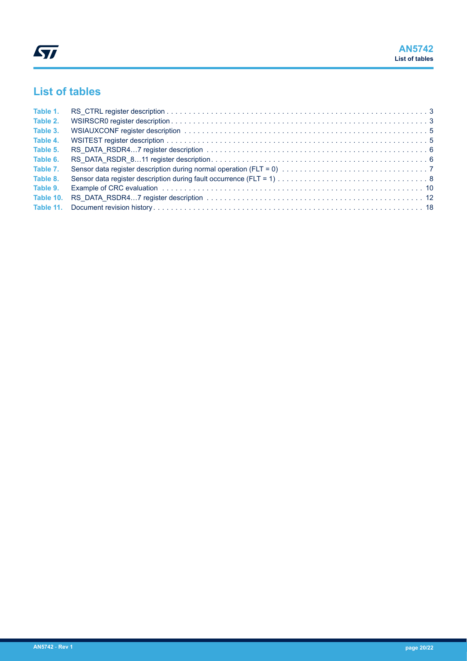## **List of tables**

| Table 1. |                                                                                                                |  |
|----------|----------------------------------------------------------------------------------------------------------------|--|
| Table 2. |                                                                                                                |  |
| Table 3. |                                                                                                                |  |
| Table 4. |                                                                                                                |  |
| Table 5. |                                                                                                                |  |
| Table 6. |                                                                                                                |  |
| Table 7. |                                                                                                                |  |
| Table 8. |                                                                                                                |  |
| Table 9. | Example of CRC evaluation et al., et al., et al., et al., et al., et al., et al., et al., et al., et al., et a |  |
|          |                                                                                                                |  |
|          |                                                                                                                |  |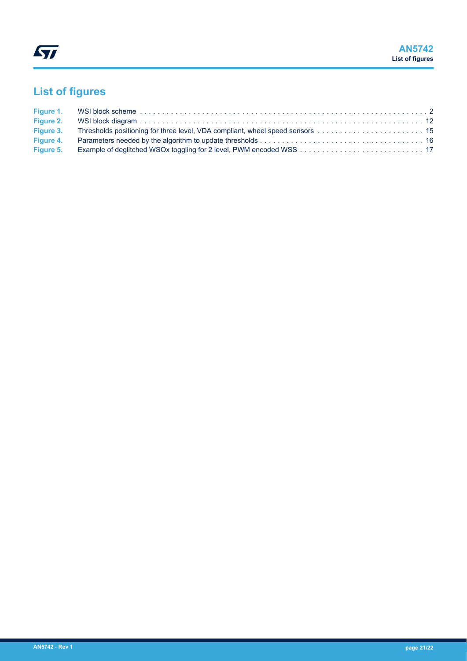# **List of figures**